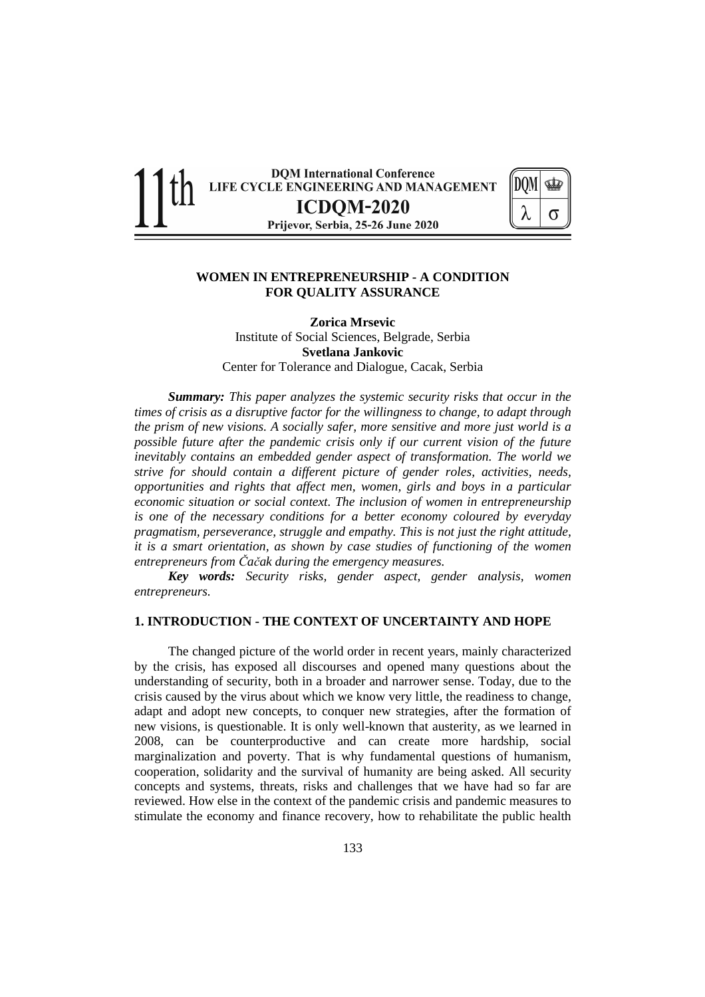

### **WOMEN IN ENTREPRENEURSHIP - A CONDITION FOR QUALITY ASSURANCE**

**Zorica Mrsevic**  Institute of Social Sciences, Belgrade, Serbia **Svetlana Jankovic**  Center for Tolerance and Dialogue, Cacak, Serbia

*Summary: This paper analyzes the systemic security risks that occur in the times of crisis as a disruptive factor for the willingness to change, to adapt through the prism of new visions. A socially safer, more sensitive and more just world is a possible future after the pandemic crisis only if our current vision of the future inevitably contains an embedded gender aspect of transformation. The world we strive for should contain a different picture of gender roles, activities, needs, opportunities and rights that affect men, women, girls and boys in a particular economic situation or social context. The inclusion of women in entrepreneurship is one of the necessary conditions for a better economy coloured by everyday pragmatism, perseverance, struggle and empathy. This is not just the right attitude, it is a smart orientation, as shown by case studies of functioning of the women entrepreneurs from Čačak during the emergency measures.* 

*Key words: Security risks, gender aspect, gender analysis, women entrepreneurs.* 

#### **1. INTRODUCTION - THE CONTEXT OF UNCERTAINTY AND HOPE**

The changed picture of the world order in recent years, mainly characterized by the crisis, has exposed all discourses and opened many questions about the understanding of security, both in a broader and narrower sense. Today, due to the crisis caused by the virus about which we know very little, the readiness to change, adapt and adopt new concepts, to conquer new strategies, after the formation of new visions, is questionable. It is only well-known that austerity, as we learned in 2008, can be counterproductive and can create more hardship, social marginalization and poverty. That is why fundamental questions of humanism, cooperation, solidarity and the survival of humanity are being asked. All security concepts and systems, threats, risks and challenges that we have had so far are reviewed. How else in the context of the pandemic crisis and pandemic measures to stimulate the economy and finance recovery, how to rehabilitate the public health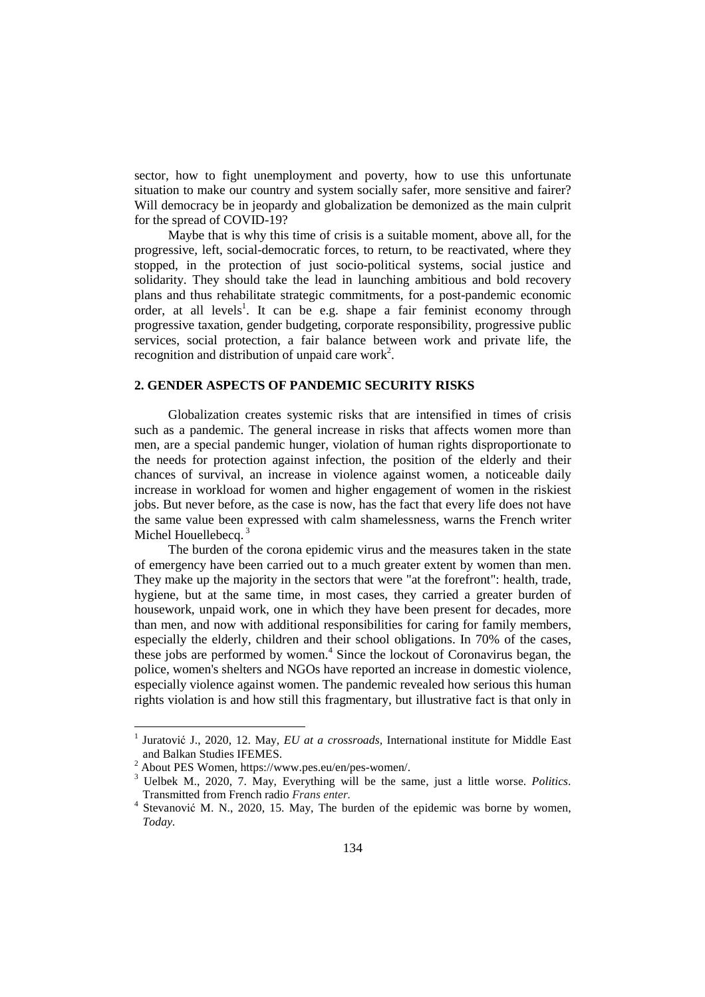sector, how to fight unemployment and poverty, how to use this unfortunate situation to make our country and system socially safer, more sensitive and fairer? Will democracy be in jeopardy and globalization be demonized as the main culprit for the spread of COVID-19?

Maybe that is why this time of crisis is a suitable moment, above all, for the progressive, left, social-democratic forces, to return, to be reactivated, where they stopped, in the protection of just socio-political systems, social justice and solidarity. They should take the lead in launching ambitious and bold recovery plans and thus rehabilitate strategic commitments, for a post-pandemic economic order, at all levels<sup>1</sup>. It can be e.g. shape a fair feminist economy through progressive taxation, gender budgeting, corporate responsibility, progressive public services, social protection, a fair balance between work and private life, the recognition and distribution of unpaid care work<sup>2</sup>.

### **2. GENDER ASPECTS OF PANDEMIC SECURITY RISKS**

Globalization creates systemic risks that are intensified in times of crisis such as a pandemic. The general increase in risks that affects women more than men, are a special pandemic hunger, violation of human rights disproportionate to the needs for protection against infection, the position of the elderly and their chances of survival, an increase in violence against women, a noticeable daily increase in workload for women and higher engagement of women in the riskiest jobs. But never before, as the case is now, has the fact that every life does not have the same value been expressed with calm shamelessness, warns the French writer Michel Houellebecq.<sup>3</sup>

The burden of the corona epidemic virus and the measures taken in the state of emergency have been carried out to a much greater extent by women than men. They make up the majority in the sectors that were "at the forefront": health, trade, hygiene, but at the same time, in most cases, they carried a greater burden of housework, unpaid work, one in which they have been present for decades, more than men, and now with additional responsibilities for caring for family members, especially the elderly, children and their school obligations. In 70% of the cases, these jobs are performed by women.<sup>4</sup> Since the lockout of Coronavirus began, the police, women's shelters and NGOs have reported an increase in domestic violence, especially violence against women. The pandemic revealed how serious this human rights violation is and how still this fragmentary, but illustrative fact is that only in

<sup>1</sup> Juratović J., 2020, 12. May, *EU at a crossroads,* International institute for Middle East and Balkan Studies IFEMES.

<sup>&</sup>lt;sup>2</sup> About PES Women, https://www.pes.eu/en/pes-women/.

<sup>3</sup> Uelbek M., 2020, 7. May, Everything will be the same, just a little worse. *Politics*. Transmitted from French radio *Frans enter.* 

<sup>4</sup> Stevanović M. N., 2020, 15. May, The burden of the epidemic was borne by women, *Today.*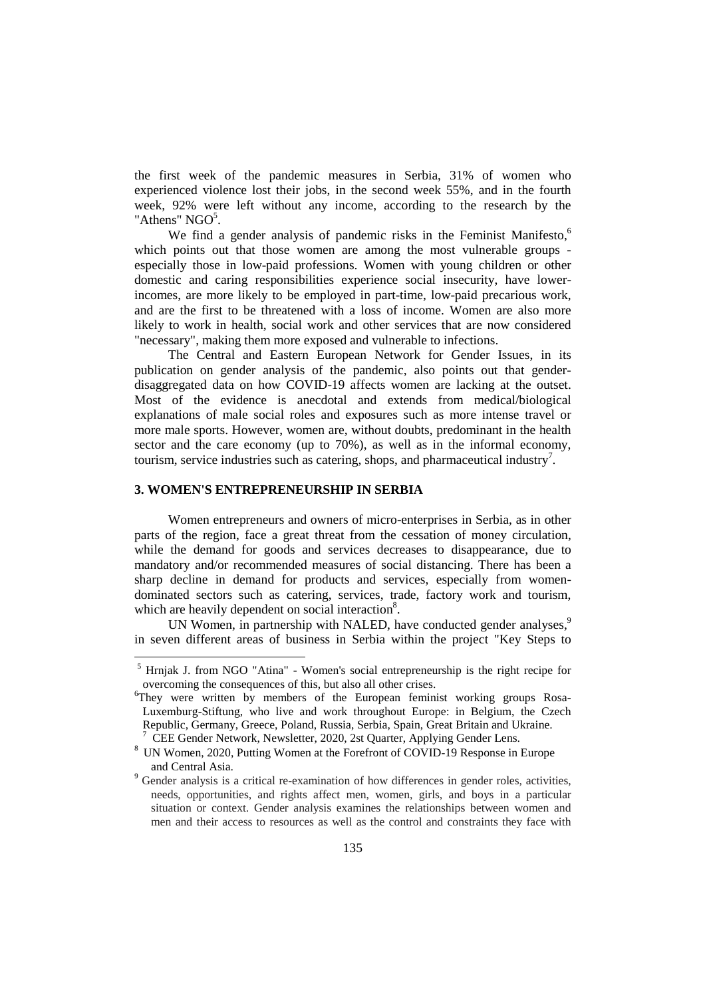the first week of the pandemic measures in Serbia, 31% of women who experienced violence lost their jobs, in the second week 55%, and in the fourth week, 92% were left without any income, according to the research by the "Athens"  $NGO<sup>5</sup>$ .

We find a gender analysis of pandemic risks in the Feminist Manifesto.<sup>6</sup> which points out that those women are among the most vulnerable groups especially those in low-paid professions. Women with young children or other domestic and caring responsibilities experience social insecurity, have lowerincomes, are more likely to be employed in part-time, low-paid precarious work, and are the first to be threatened with a loss of income. Women are also more likely to work in health, social work and other services that are now considered "necessary", making them more exposed and vulnerable to infections.

The Central and Eastern European Network for Gender Issues, in its publication on gender analysis of the pandemic, also points out that genderdisaggregated data on how COVID-19 affects women are lacking at the outset. Most of the evidence is anecdotal and extends from medical/biological explanations of male social roles and exposures such as more intense travel or more male sports. However, women are, without doubts, predominant in the health sector and the care economy (up to 70%), as well as in the informal economy, tourism, service industries such as catering, shops, and pharmaceutical industry<sup>7</sup>.

### **3. WOMEN'S ENTREPRENEURSHIP IN SERBIA**

 $\overline{a}$ 

Women entrepreneurs and owners of micro-enterprises in Serbia, as in other parts of the region, face a great threat from the cessation of money circulation, while the demand for goods and services decreases to disappearance, due to mandatory and/or recommended measures of social distancing. There has been a sharp decline in demand for products and services, especially from womendominated sectors such as catering, services, trade, factory work and tourism, which are heavily dependent on social interaction<sup>8</sup>.

UN Women, in partnership with NALED, have conducted gender analyses,<sup>9</sup> in seven different areas of business in Serbia within the project "Key Steps to

<sup>&</sup>lt;sup>5</sup> Hrnjak J. from NGO "Atina" - Women's social entrepreneurship is the right recipe for overcoming the consequences of this, but also all other crises.

<sup>&</sup>lt;sup>6</sup>They were written by members of the European feminist working groups Rosa-Luxemburg-Stiftung, who live and work throughout Europe: in Belgium, the Czech Republic, Germany, Greece, Poland, Russia, Serbia, Spain, Great Britain and Ukraine. 7

CEE Gender Network, Newsletter, 2020, 2st Quarter, Applying Gender Lens.

<sup>&</sup>lt;sup>8</sup> UN Women, 2020, Putting Women at the Forefront of COVID-19 Response in Europe and Central Asia.

<sup>&</sup>lt;sup>9</sup> Gender analysis is a critical re-examination of how differences in gender roles, activities, needs, opportunities, and rights affect men, women, girls, and boys in a particular situation or context. Gender analysis examines the relationships between women and men and their access to resources as well as the control and constraints they face with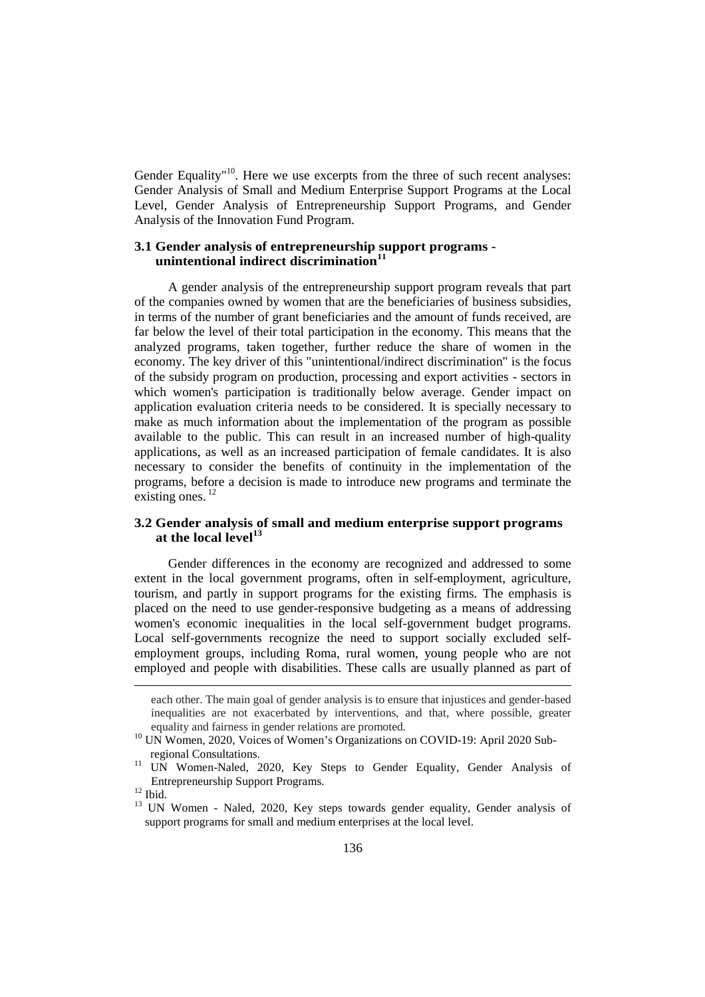Gender Equality<sup> $n10$ </sup>. Here we use excerpts from the three of such recent analyses: Gender Analysis of Small and Medium Enterprise Support Programs at the Local Level, Gender Analysis of Entrepreneurship Support Programs, and Gender Analysis of the Innovation Fund Program.

# **3.1 Gender analysis of entrepreneurship support programs unintentional indirect discrimination<sup>11</sup>**

A gender analysis of the entrepreneurship support program reveals that part of the companies owned by women that are the beneficiaries of business subsidies, in terms of the number of grant beneficiaries and the amount of funds received, are far below the level of their total participation in the economy. This means that the analyzed programs, taken together, further reduce the share of women in the economy. The key driver of this "unintentional/indirect discrimination" is the focus of the subsidy program on production, processing and export activities - sectors in which women's participation is traditionally below average. Gender impact on application evaluation criteria needs to be considered. It is specially necessary to make as much information about the implementation of the program as possible available to the public. This can result in an increased number of high-quality applications, as well as an increased participation of female candidates. It is also necessary to consider the benefits of continuity in the implementation of the programs, before a decision is made to introduce new programs and terminate the existing ones. $^{12}$ 

# **3.2 Gender analysis of small and medium enterprise support programs at the local level<sup>13</sup>**

Gender differences in the economy are recognized and addressed to some extent in the local government programs, often in self-employment, agriculture, tourism, and partly in support programs for the existing firms. The emphasis is placed on the need to use gender-responsive budgeting as a means of addressing women's economic inequalities in the local self-government budget programs. Local self-governments recognize the need to support socially excluded selfemployment groups, including Roma, rural women, young people who are not employed and people with disabilities. These calls are usually planned as part of

each other. The main goal of gender analysis is to ensure that injustices and gender-based inequalities are not exacerbated by interventions, and that, where possible, greater equality and fairness in gender relations are promoted.

<sup>&</sup>lt;sup>10</sup> UN Women, 2020, Voices of Women's Organizations on COVID-19: April 2020 Subregional Consultations.

<sup>&</sup>lt;sup>11</sup> UN Women-Naled, 2020, Key Steps to Gender Equality, Gender Analysis of Entrepreneurship Support Programs.

 $12$  Ibid.

<sup>&</sup>lt;sup>13</sup> UN Women - Naled, 2020, Key steps towards gender equality, Gender analysis of support programs for small and medium enterprises at the local level.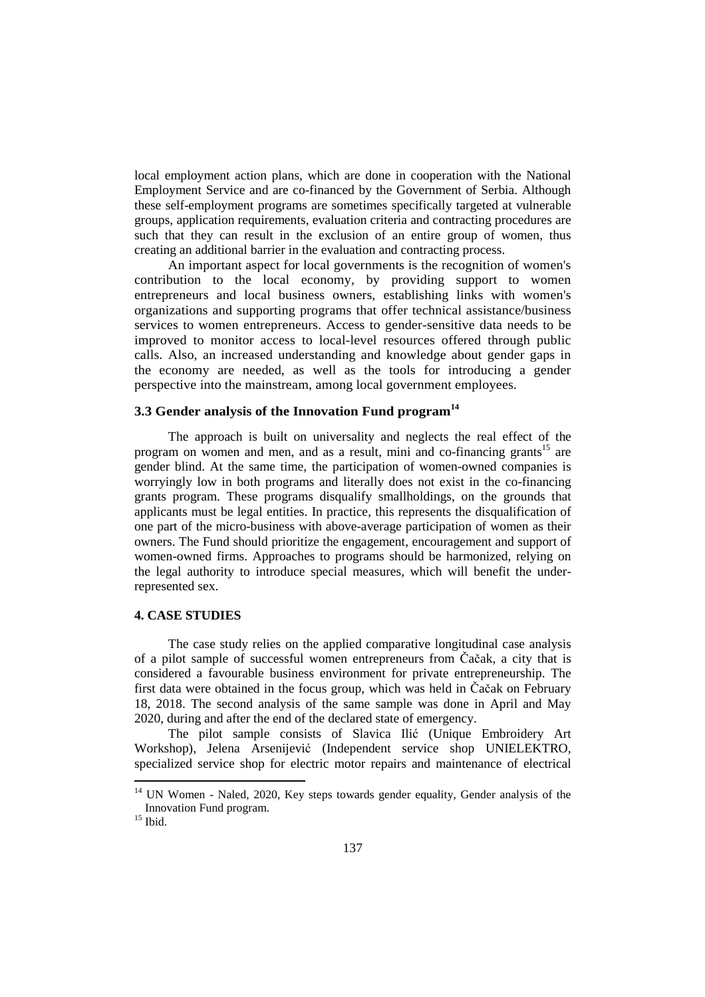local employment action plans, which are done in cooperation with the National Employment Service and are co-financed by the Government of Serbia. Although these self-employment programs are sometimes specifically targeted at vulnerable groups, application requirements, evaluation criteria and contracting procedures are such that they can result in the exclusion of an entire group of women, thus creating an additional barrier in the evaluation and contracting process.

An important aspect for local governments is the recognition of women's contribution to the local economy, by providing support to women entrepreneurs and local business owners, establishing links with women's organizations and supporting programs that offer technical assistance/business services to women entrepreneurs. Access to gender-sensitive data needs to be improved to monitor access to local-level resources offered through public calls. Also, an increased understanding and knowledge about gender gaps in the economy are needed, as well as the tools for introducing a gender perspective into the mainstream, among local government employees.

# **3.3 Gender analysis of the Innovation Fund program<sup>14</sup>**

The approach is built on universality and neglects the real effect of the program on women and men, and as a result, mini and co-financing grants<sup>15</sup> are gender blind. At the same time, the participation of women-owned companies is worryingly low in both programs and literally does not exist in the co-financing grants program. These programs disqualify smallholdings, on the grounds that applicants must be legal entities. In practice, this represents the disqualification of one part of the micro-business with above-average participation of women as their owners. The Fund should prioritize the engagement, encouragement and support of women-owned firms. Approaches to programs should be harmonized, relying on the legal authority to introduce special measures, which will benefit the underrepresented sex.

### **4. CASE STUDIES**

The case study relies on the applied comparative longitudinal case analysis of a pilot sample of successful women entrepreneurs from Čačak, a city that is considered a favourable business environment for private entrepreneurship. The first data were obtained in the focus group, which was held in Čačak on February 18, 2018. The second analysis of the same sample was done in April and May 2020, during and after the end of the declared state of emergency.

The pilot sample consists of Slavica Ilić (Unique Embroidery Art Workshop), Jelena Arsenijević (Independent service shop UNIELEKTRO, specialized service shop for electric motor repairs and maintenance of electrical

<sup>&</sup>lt;sup>14</sup> UN Women - Naled, 2020, Key steps towards gender equality, Gender analysis of the Innovation Fund program.

 $^{15}$  Ibid.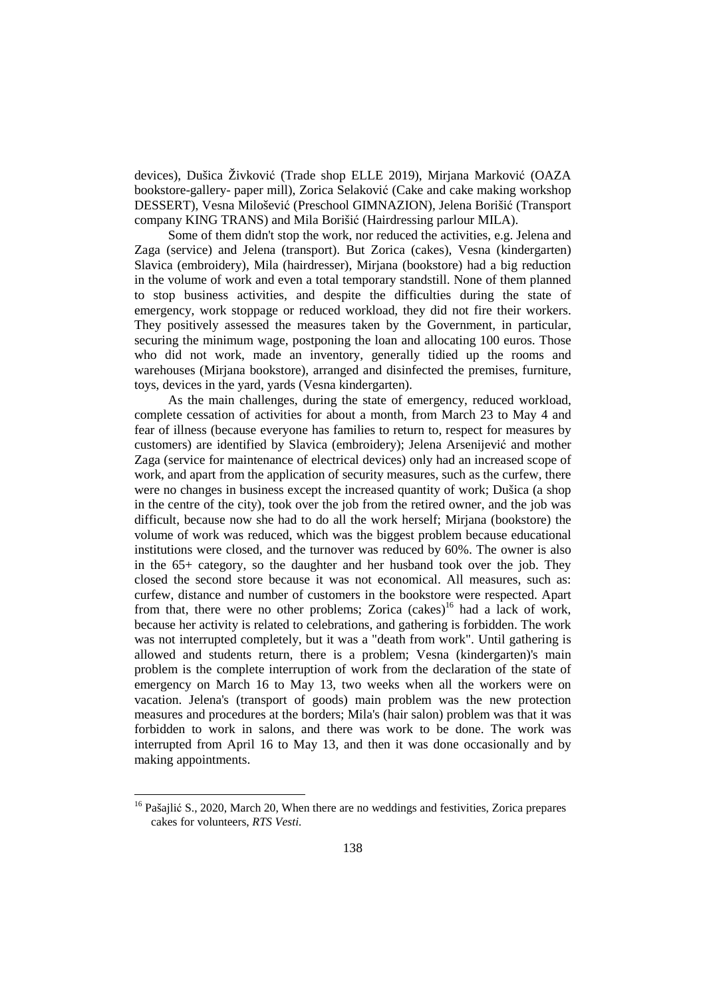devices), Dušica Živković (Trade shop ELLE 2019), Mirjana Marković (OAZA bookstore-gallery- paper mill), Zorica Selaković (Cake and cake making workshop DESSERT), Vesna Milošević (Preschool GIMNAZION), Jelena Borišić (Transport company KING TRANS) and Mila Borišić (Hairdressing parlour MILA).

Some of them didn't stop the work, nor reduced the activities, e.g. Jelena and Zaga (service) and Jelena (transport). But Zorica (cakes), Vesna (kindergarten) Slavica (embroidery), Mila (hairdresser), Mirjana (bookstore) had a big reduction in the volume of work and even a total temporary standstill. None of them planned to stop business activities, and despite the difficulties during the state of emergency, work stoppage or reduced workload, they did not fire their workers. They positively assessed the measures taken by the Government, in particular, securing the minimum wage, postponing the loan and allocating 100 euros. Those who did not work, made an inventory, generally tidied up the rooms and warehouses (Mirjana bookstore), arranged and disinfected the premises, furniture, toys, devices in the yard, yards (Vesna kindergarten).

As the main challenges, during the state of emergency, reduced workload, complete cessation of activities for about a month, from March 23 to May 4 and fear of illness (because everyone has families to return to, respect for measures by customers) are identified by Slavica (embroidery); Jelena Arsenijević and mother Zaga (service for maintenance of electrical devices) only had an increased scope of work, and apart from the application of security measures, such as the curfew, there were no changes in business except the increased quantity of work; Dušica (a shop in the centre of the city), took over the job from the retired owner, and the job was difficult, because now she had to do all the work herself; Mirjana (bookstore) the volume of work was reduced, which was the biggest problem because educational institutions were closed, and the turnover was reduced by 60%. The owner is also in the 65+ category, so the daughter and her husband took over the job. They closed the second store because it was not economical. All measures, such as: curfew, distance and number of customers in the bookstore were respected. Apart from that, there were no other problems; Zorica  $(cakes)^{16}$  had a lack of work, because her activity is related to celebrations, and gathering is forbidden. The work was not interrupted completely, but it was a "death from work". Until gathering is allowed and students return, there is a problem; Vesna (kindergarten)'s main problem is the complete interruption of work from the declaration of the state of emergency on March 16 to May 13, two weeks when all the workers were on vacation. Jelena's (transport of goods) main problem was the new protection measures and procedures at the borders; Mila's (hair salon) problem was that it was forbidden to work in salons, and there was work to be done. The work was interrupted from April 16 to May 13, and then it was done occasionally and by making appointments.

<sup>&</sup>lt;sup>16</sup> Pašajlić S., 2020, March 20, When there are no weddings and festivities, Zorica prepares cakes for volunteers, *RTS Vesti.*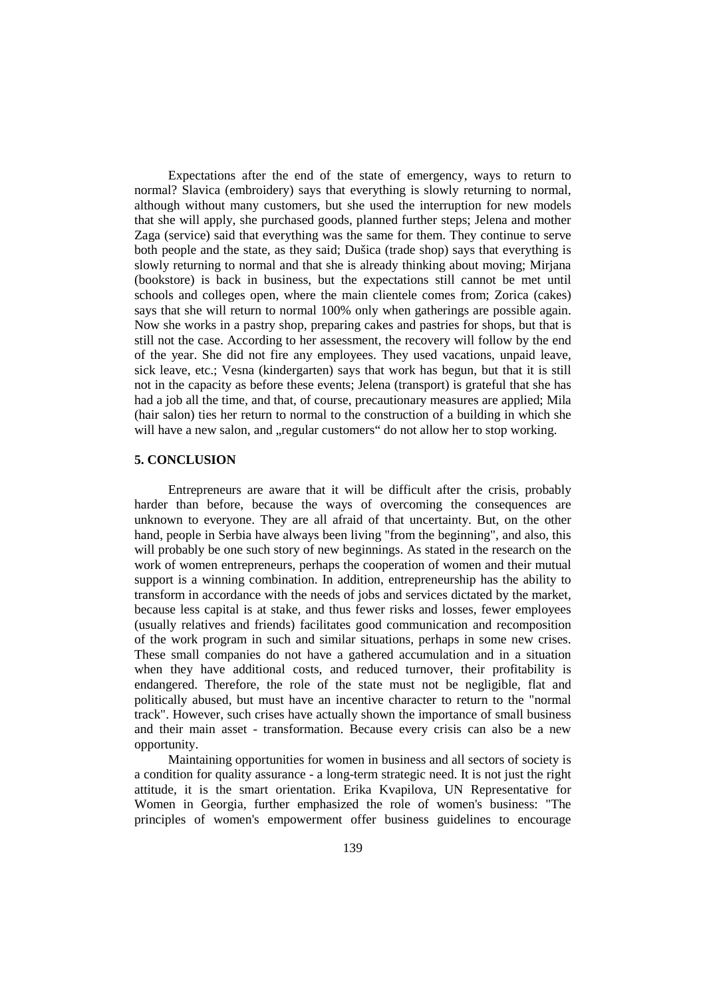Expectations after the end of the state of emergency, ways to return to normal? Slavica (embroidery) says that everything is slowly returning to normal, although without many customers, but she used the interruption for new models that she will apply, she purchased goods, planned further steps; Jelena and mother Zaga (service) said that everything was the same for them. They continue to serve both people and the state, as they said; Dušica (trade shop) says that everything is slowly returning to normal and that she is already thinking about moving; Mirjana (bookstore) is back in business, but the expectations still cannot be met until schools and colleges open, where the main clientele comes from; Zorica (cakes) says that she will return to normal 100% only when gatherings are possible again. Now she works in a pastry shop, preparing cakes and pastries for shops, but that is still not the case. According to her assessment, the recovery will follow by the end of the year. She did not fire any employees. They used vacations, unpaid leave, sick leave, etc.; Vesna (kindergarten) says that work has begun, but that it is still not in the capacity as before these events; Jelena (transport) is grateful that she has had a job all the time, and that, of course, precautionary measures are applied; Mila (hair salon) ties her return to normal to the construction of a building in which she will have a new salon, and "regular customers" do not allow her to stop working.

## **5. CONCLUSION**

Entrepreneurs are aware that it will be difficult after the crisis, probably harder than before, because the ways of overcoming the consequences are unknown to everyone. They are all afraid of that uncertainty. But, on the other hand, people in Serbia have always been living "from the beginning", and also, this will probably be one such story of new beginnings. As stated in the research on the work of women entrepreneurs, perhaps the cooperation of women and their mutual support is a winning combination. In addition, entrepreneurship has the ability to transform in accordance with the needs of jobs and services dictated by the market, because less capital is at stake, and thus fewer risks and losses, fewer employees (usually relatives and friends) facilitates good communication and recomposition of the work program in such and similar situations, perhaps in some new crises. These small companies do not have a gathered accumulation and in a situation when they have additional costs, and reduced turnover, their profitability is endangered. Therefore, the role of the state must not be negligible, flat and politically abused, but must have an incentive character to return to the "normal track". However, such crises have actually shown the importance of small business and their main asset - transformation. Because every crisis can also be a new opportunity.

Maintaining opportunities for women in business and all sectors of society is a condition for quality assurance - a long-term strategic need. It is not just the right attitude, it is the smart orientation. Erika Kvapilova, UN Representative for Women in Georgia, further emphasized the role of women's business: "The principles of women's empowerment offer business guidelines to encourage